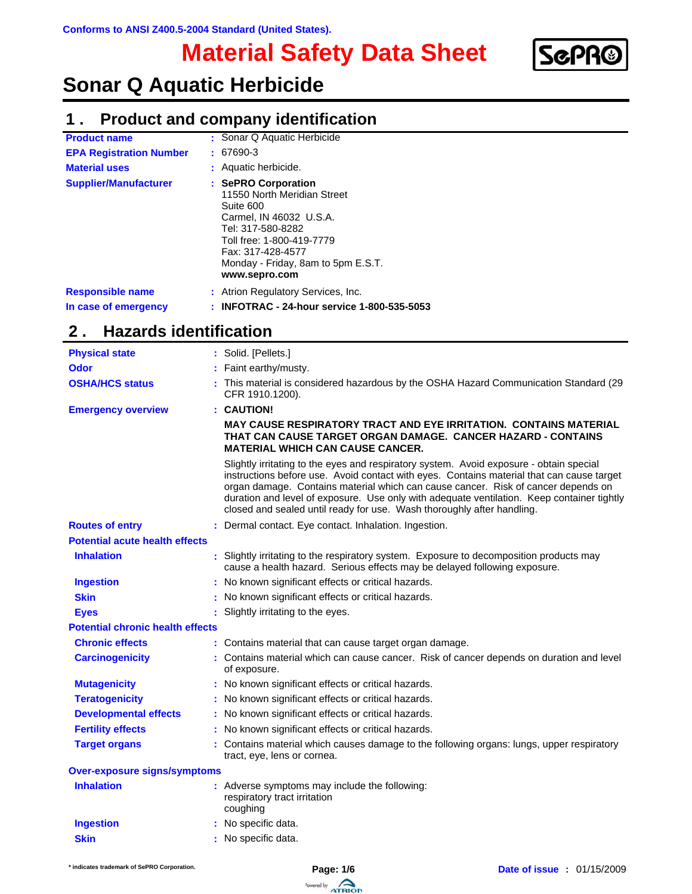# **Material Safety Data Sheet**



# **Sonar Q Aquatic Herbicide**

## **Product and company identification 1 .**

| <b>Product name</b>                             | : Sonar Q Aquatic Herbicide                                                                                                                                                                                              |
|-------------------------------------------------|--------------------------------------------------------------------------------------------------------------------------------------------------------------------------------------------------------------------------|
| <b>EPA Registration Number</b>                  | $: 67690-3$                                                                                                                                                                                                              |
| <b>Material uses</b>                            | : Aquatic herbicide.                                                                                                                                                                                                     |
| <b>Supplier/Manufacturer</b>                    | : SePRO Corporation<br>11550 North Meridian Street<br>Suite 600<br>Carmel, IN 46032 U.S.A.<br>Tel: 317-580-8282<br>Toll free: 1-800-419-7779<br>Fax: 317-428-4577<br>Monday - Friday, 8am to 5pm E.S.T.<br>www.sepro.com |
| <b>Responsible name</b><br>In case of emergency | : Atrion Regulatory Services, Inc.<br>: INFOTRAC - 24-hour service 1-800-535-5053                                                                                                                                        |

### **Hazards identification 2 .**

| <b>Physical state</b>                   | : Solid. [Pellets.]                                                                                                                                                                                                                                                                                                                                                                                                                               |
|-----------------------------------------|---------------------------------------------------------------------------------------------------------------------------------------------------------------------------------------------------------------------------------------------------------------------------------------------------------------------------------------------------------------------------------------------------------------------------------------------------|
| <b>Odor</b>                             | Faint earthy/musty.                                                                                                                                                                                                                                                                                                                                                                                                                               |
| <b>OSHA/HCS status</b>                  | : This material is considered hazardous by the OSHA Hazard Communication Standard (29<br>CFR 1910.1200).                                                                                                                                                                                                                                                                                                                                          |
| <b>Emergency overview</b>               | : CAUTION!                                                                                                                                                                                                                                                                                                                                                                                                                                        |
|                                         | <b>MAY CAUSE RESPIRATORY TRACT AND EYE IRRITATION. CONTAINS MATERIAL</b><br>THAT CAN CAUSE TARGET ORGAN DAMAGE. CANCER HAZARD - CONTAINS<br><b>MATERIAL WHICH CAN CAUSE CANCER.</b>                                                                                                                                                                                                                                                               |
|                                         | Slightly irritating to the eyes and respiratory system. Avoid exposure - obtain special<br>instructions before use. Avoid contact with eyes. Contains material that can cause target<br>organ damage. Contains material which can cause cancer. Risk of cancer depends on<br>duration and level of exposure. Use only with adequate ventilation. Keep container tightly<br>closed and sealed until ready for use. Wash thoroughly after handling. |
| <b>Routes of entry</b>                  | : Dermal contact. Eye contact. Inhalation. Ingestion.                                                                                                                                                                                                                                                                                                                                                                                             |
| <b>Potential acute health effects</b>   |                                                                                                                                                                                                                                                                                                                                                                                                                                                   |
| <b>Inhalation</b>                       | . Slightly irritating to the respiratory system. Exposure to decomposition products may<br>cause a health hazard. Serious effects may be delayed following exposure.                                                                                                                                                                                                                                                                              |
| <b>Ingestion</b>                        | : No known significant effects or critical hazards.                                                                                                                                                                                                                                                                                                                                                                                               |
| <b>Skin</b>                             | No known significant effects or critical hazards.                                                                                                                                                                                                                                                                                                                                                                                                 |
| <b>Eyes</b>                             | Slightly irritating to the eyes.                                                                                                                                                                                                                                                                                                                                                                                                                  |
| <b>Potential chronic health effects</b> |                                                                                                                                                                                                                                                                                                                                                                                                                                                   |
| <b>Chronic effects</b>                  | : Contains material that can cause target organ damage.                                                                                                                                                                                                                                                                                                                                                                                           |
| <b>Carcinogenicity</b>                  | : Contains material which can cause cancer. Risk of cancer depends on duration and level<br>of exposure.                                                                                                                                                                                                                                                                                                                                          |
| <b>Mutagenicity</b>                     | : No known significant effects or critical hazards.                                                                                                                                                                                                                                                                                                                                                                                               |
| <b>Teratogenicity</b>                   | : No known significant effects or critical hazards.                                                                                                                                                                                                                                                                                                                                                                                               |
| <b>Developmental effects</b>            | : No known significant effects or critical hazards.                                                                                                                                                                                                                                                                                                                                                                                               |
| <b>Fertility effects</b>                | : No known significant effects or critical hazards.                                                                                                                                                                                                                                                                                                                                                                                               |
| <b>Target organs</b>                    | : Contains material which causes damage to the following organs: lungs, upper respiratory<br>tract, eye, lens or cornea.                                                                                                                                                                                                                                                                                                                          |
| <b>Over-exposure signs/symptoms</b>     |                                                                                                                                                                                                                                                                                                                                                                                                                                                   |
| <b>Inhalation</b>                       | : Adverse symptoms may include the following:<br>respiratory tract irritation<br>coughing                                                                                                                                                                                                                                                                                                                                                         |
| <b>Ingestion</b>                        | : No specific data.                                                                                                                                                                                                                                                                                                                                                                                                                               |
| <b>Skin</b>                             | : No specific data.                                                                                                                                                                                                                                                                                                                                                                                                                               |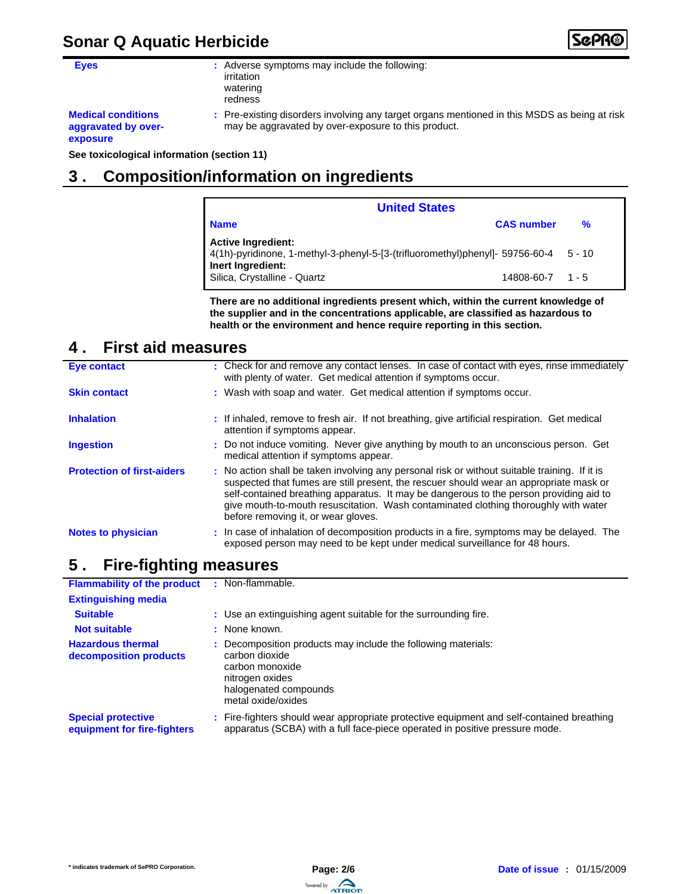# **Sonar Q Aquatic Herbicide**



**Eyes :** Adverse symptoms may include the following: irritation watering redness

**Medical conditions aggravated by overexposure**

Pre-existing disorders involving any target organs mentioned in this MSDS as being at risk **:** may be aggravated by over-exposure to this product.

**See toxicological information (section 11)**

# **3 . Composition/information on ingredients**

| <b>United States</b>                                                                                                                          |                        |   |  |
|-----------------------------------------------------------------------------------------------------------------------------------------------|------------------------|---|--|
| l Name                                                                                                                                        | <b>CAS number</b>      | % |  |
| <b>Active Ingredient:</b><br>10 - 5 - 50 - 4(1h)-pyridinone, 1-methyl-3-phenyl-5-[3-(trifluoromethyl)phenyl]- 59756-60-4<br>Inert Ingredient: |                        |   |  |
| Silica, Crystalline - Quartz                                                                                                                  | $14808 - 60 - 7$ 1 - 5 |   |  |

**There are no additional ingredients present which, within the current knowledge of the supplier and in the concentrations applicable, are classified as hazardous to health or the environment and hence require reporting in this section.**

#### **First aid measures 4 .**

| <b>Eye contact</b>                | : Check for and remove any contact lenses. In case of contact with eyes, rinse immediately<br>with plenty of water. Get medical attention if symptoms occur.                                                                                                                                                                                                                                                    |
|-----------------------------------|-----------------------------------------------------------------------------------------------------------------------------------------------------------------------------------------------------------------------------------------------------------------------------------------------------------------------------------------------------------------------------------------------------------------|
| <b>Skin contact</b>               | : Wash with soap and water. Get medical attention if symptoms occur.                                                                                                                                                                                                                                                                                                                                            |
| <b>Inhalation</b>                 | : If inhaled, remove to fresh air. If not breathing, give artificial respiration. Get medical<br>attention if symptoms appear.                                                                                                                                                                                                                                                                                  |
| <b>Ingestion</b>                  | : Do not induce vomiting. Never give anything by mouth to an unconscious person. Get<br>medical attention if symptoms appear.                                                                                                                                                                                                                                                                                   |
| <b>Protection of first-aiders</b> | : No action shall be taken involving any personal risk or without suitable training. If it is<br>suspected that fumes are still present, the rescuer should wear an appropriate mask or<br>self-contained breathing apparatus. It may be dangerous to the person providing aid to<br>give mouth-to-mouth resuscitation. Wash contaminated clothing thoroughly with water<br>before removing it, or wear gloves. |
| <b>Notes to physician</b>         | : In case of inhalation of decomposition products in a fire, symptoms may be delayed. The<br>exposed person may need to be kept under medical surveillance for 48 hours.                                                                                                                                                                                                                                        |

#### **Fire-fighting measures 5 .**

| <b>Flammability of the product</b>                       | : Non-flammable.                                                                                                                                                         |
|----------------------------------------------------------|--------------------------------------------------------------------------------------------------------------------------------------------------------------------------|
| <b>Extinguishing media</b>                               |                                                                                                                                                                          |
| <b>Suitable</b>                                          | : Use an extinguishing agent suitable for the surrounding fire.                                                                                                          |
| <b>Not suitable</b>                                      | : None known.                                                                                                                                                            |
| <b>Hazardous thermal</b><br>decomposition products       | : Decomposition products may include the following materials:<br>carbon dioxide<br>carbon monoxide<br>nitrogen oxides<br>halogenated compounds<br>metal oxide/oxides     |
| <b>Special protective</b><br>equipment for fire-fighters | : Fire-fighters should wear appropriate protective equipment and self-contained breathing<br>apparatus (SCBA) with a full face-piece operated in positive pressure mode. |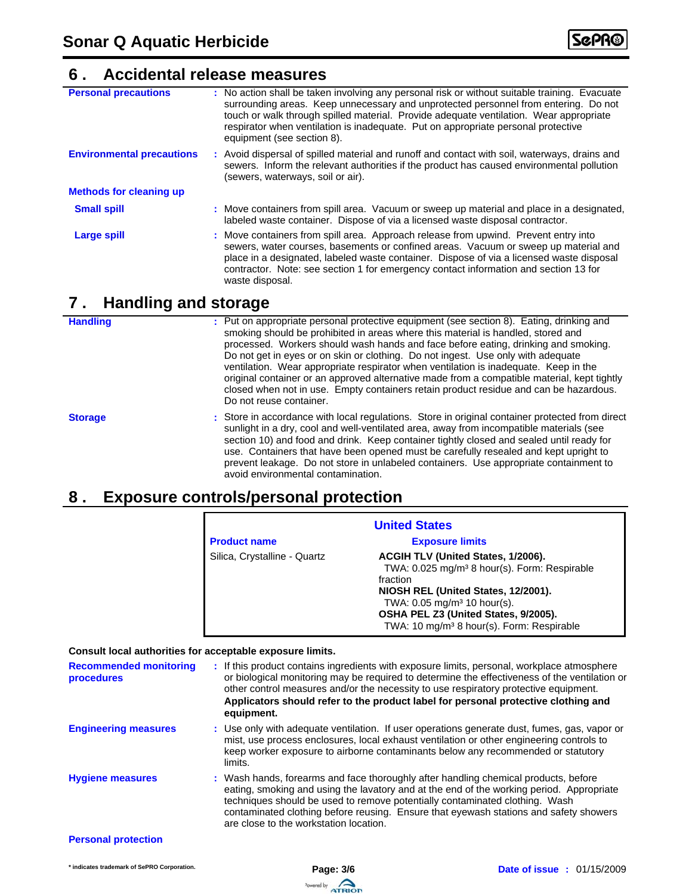#### **Accidental release measures 6 .**

| <b>Personal precautions</b>       | : No action shall be taken involving any personal risk or without suitable training. Evacuate<br>surrounding areas. Keep unnecessary and unprotected personnel from entering. Do not<br>touch or walk through spilled material. Provide adequate ventilation. Wear appropriate<br>respirator when ventilation is inadequate. Put on appropriate personal protective<br>equipment (see section 8). |
|-----------------------------------|---------------------------------------------------------------------------------------------------------------------------------------------------------------------------------------------------------------------------------------------------------------------------------------------------------------------------------------------------------------------------------------------------|
| <b>Environmental precautions</b>  | : Avoid dispersal of spilled material and runoff and contact with soil, waterways, drains and<br>sewers. Inform the relevant authorities if the product has caused environmental pollution<br>(sewers, waterways, soil or air).                                                                                                                                                                   |
| <b>Methods for cleaning up</b>    |                                                                                                                                                                                                                                                                                                                                                                                                   |
| <b>Small spill</b>                | : Move containers from spill area. Vacuum or sweep up material and place in a designated,<br>labeled waste container. Dispose of via a licensed waste disposal contractor.                                                                                                                                                                                                                        |
| <b>Large spill</b>                | : Move containers from spill area. Approach release from upwind. Prevent entry into<br>sewers, water courses, basements or confined areas. Vacuum or sweep up material and<br>place in a designated, labeled waste container. Dispose of via a licensed waste disposal<br>contractor. Note: see section 1 for emergency contact information and section 13 for<br>waste disposal.                 |
| <b>Handling and storage</b><br>7. |                                                                                                                                                                                                                                                                                                                                                                                                   |

# **Handling**

| <b>Handling</b> | : Put on appropriate personal protective equipment (see section 8). Eating, drinking and<br>smoking should be prohibited in areas where this material is handled, stored and<br>processed. Workers should wash hands and face before eating, drinking and smoking.<br>Do not get in eyes or on skin or clothing. Do not ingest. Use only with adequate<br>ventilation. Wear appropriate respirator when ventilation is inadequate. Keep in the<br>original container or an approved alternative made from a compatible material, kept tightly<br>closed when not in use. Empty containers retain product residue and can be hazardous.<br>Do not reuse container. |
|-----------------|-------------------------------------------------------------------------------------------------------------------------------------------------------------------------------------------------------------------------------------------------------------------------------------------------------------------------------------------------------------------------------------------------------------------------------------------------------------------------------------------------------------------------------------------------------------------------------------------------------------------------------------------------------------------|
| <b>Storage</b>  | : Store in accordance with local regulations. Store in original container protected from direct<br>sunlight in a dry, cool and well-ventilated area, away from incompatible materials (see<br>section 10) and food and drink. Keep container tightly closed and sealed until ready for<br>use. Containers that have been opened must be carefully resealed and kept upright to<br>prevent leakage. Do not store in unlabeled containers. Use appropriate containment to<br>avoid environmental contamination.                                                                                                                                                     |

## **Exposure controls/personal protection 8 .**

| <b>United States</b>         |                                                          |  |
|------------------------------|----------------------------------------------------------|--|
| <b>Product name</b>          | <b>Exposure limits</b>                                   |  |
| Silica, Crystalline - Quartz | ACGIH TLV (United States, 1/2006).                       |  |
|                              | TWA: 0.025 mg/m <sup>3</sup> 8 hour(s). Form: Respirable |  |
|                              | fraction                                                 |  |
|                              | NIOSH REL (United States, 12/2001).                      |  |
|                              | TWA: $0.05 \text{ mg/m}^3$ 10 hour(s).                   |  |
|                              | OSHA PEL Z3 (United States, 9/2005).                     |  |
|                              | TWA: 10 mg/m <sup>3</sup> 8 hour(s). Form: Respirable    |  |

#### **Consult local authorities for acceptable exposure limits.**

| <b>Recommended monitoring</b><br>procedures | : If this product contains ingredients with exposure limits, personal, workplace atmosphere<br>or biological monitoring may be required to determine the effectiveness of the ventilation or<br>other control measures and/or the necessity to use respiratory protective equipment.<br>Applicators should refer to the product label for personal protective clothing and<br>equipment.          |
|---------------------------------------------|---------------------------------------------------------------------------------------------------------------------------------------------------------------------------------------------------------------------------------------------------------------------------------------------------------------------------------------------------------------------------------------------------|
| <b>Engineering measures</b>                 | : Use only with adequate ventilation. If user operations generate dust, fumes, gas, vapor or<br>mist, use process enclosures, local exhaust ventilation or other engineering controls to<br>keep worker exposure to airborne contaminants below any recommended or statutory<br>limits.                                                                                                           |
| <b>Hygiene measures</b>                     | : Wash hands, forearms and face thoroughly after handling chemical products, before<br>eating, smoking and using the lavatory and at the end of the working period. Appropriate<br>techniques should be used to remove potentially contaminated clothing. Wash<br>contaminated clothing before reusing. Ensure that eyewash stations and safety showers<br>are close to the workstation location. |
| <b>Personal protection</b>                  |                                                                                                                                                                                                                                                                                                                                                                                                   |

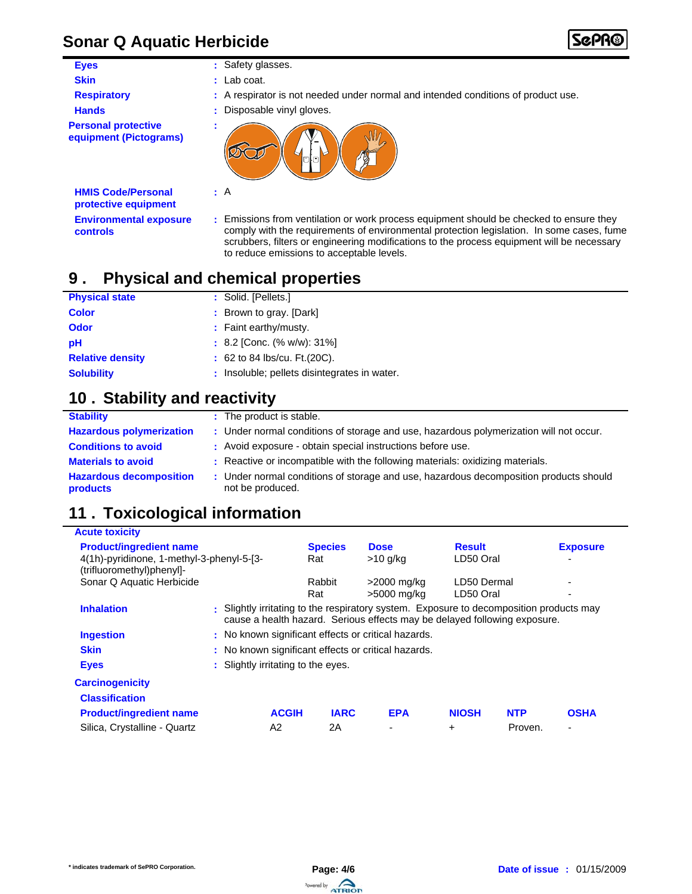# **Sonar Q Aquatic Herbicide**

| <b>Eyes</b>                                          | : Safety glasses.                                                                                                                                                                    |
|------------------------------------------------------|--------------------------------------------------------------------------------------------------------------------------------------------------------------------------------------|
| <b>Skin</b>                                          | $:$ Lab coat.                                                                                                                                                                        |
| <b>Respiratory</b>                                   | : A respirator is not needed under normal and intended conditions of product use.                                                                                                    |
| <b>Hands</b>                                         | : Disposable vinyl gloves.                                                                                                                                                           |
| <b>Personal protective</b><br>equipment (Pictograms) | 0 O                                                                                                                                                                                  |
| <b>HMIS Code/Personal</b><br>protective equipment    | $\therefore$ A                                                                                                                                                                       |
| <b>Environmental exposure</b><br>controls            | : Emissions from ventilation or work process equipment should be checked to ensure they<br>comply with the requirements of environmental protection legislation. In some cases, fume |

comply with the requirements of environmental protection legislation. In some cases, fume scrubbers, filters or engineering modifications to the process equipment will be necessary

#### **Physical and chemical properties 9 .**

| <b>Physical state</b>   | : Solid. [Pellets.]                          |
|-------------------------|----------------------------------------------|
| <b>Color</b>            | : Brown to gray. [Dark]                      |
| <b>Odor</b>             | : Faint earthy/musty.                        |
| pH                      | $: 8.2$ [Conc. (% w/w): 31%]                 |
| <b>Relative density</b> | : 62 to 84 lbs/cu. Ft. (20C).                |
| <b>Solubility</b>       | : Insoluble; pellets disintegrates in water. |
|                         |                                              |

to reduce emissions to acceptable levels.

# 10 . Stability and reactivity

| <b>Stability</b>                           | : The product is stable.                                                                                  |
|--------------------------------------------|-----------------------------------------------------------------------------------------------------------|
| <b>Hazardous polymerization</b>            | : Under normal conditions of storage and use, hazardous polymerization will not occur.                    |
| <b>Conditions to avoid</b>                 | : Avoid exposure - obtain special instructions before use.                                                |
| <b>Materials to avoid</b>                  | : Reactive or incompatible with the following materials: oxidizing materials.                             |
| <b>Hazardous decomposition</b><br>products | : Under normal conditions of storage and use, hazardous decomposition products should<br>not be produced. |

# **11 . Toxicological information**

| <b>Acute toxicity</b>                                                  |  |                                                                                                                                                                      |             |                |              |                 |             |
|------------------------------------------------------------------------|--|----------------------------------------------------------------------------------------------------------------------------------------------------------------------|-------------|----------------|--------------|-----------------|-------------|
| <b>Product/ingredient name</b>                                         |  | <b>Species</b>                                                                                                                                                       | <b>Dose</b> | <b>Result</b>  |              | <b>Exposure</b> |             |
| 4(1h)-pyridinone, 1-methyl-3-phenyl-5-[3-<br>(trifluoromethyl)phenyl]- |  | Rat                                                                                                                                                                  | $>10$ g/kg  | LD50 Oral      |              |                 |             |
| Sonar Q Aquatic Herbicide                                              |  | Rabbit                                                                                                                                                               | >2000 mg/kg | LD50 Dermal    |              |                 |             |
|                                                                        |  |                                                                                                                                                                      | Rat         | >5000 mg/kg    | LD50 Oral    |                 |             |
| <b>Inhalation</b>                                                      |  | : Slightly irritating to the respiratory system. Exposure to decomposition products may<br>cause a health hazard. Serious effects may be delayed following exposure. |             |                |              |                 |             |
| <b>Ingestion</b>                                                       |  | : No known significant effects or critical hazards.                                                                                                                  |             |                |              |                 |             |
| <b>Skin</b>                                                            |  | : No known significant effects or critical hazards.                                                                                                                  |             |                |              |                 |             |
| <b>Eyes</b>                                                            |  | : Slightly irritating to the eyes.                                                                                                                                   |             |                |              |                 |             |
| <b>Carcinogenicity</b>                                                 |  |                                                                                                                                                                      |             |                |              |                 |             |
| <b>Classification</b>                                                  |  |                                                                                                                                                                      |             |                |              |                 |             |
| <b>Product/ingredient name</b>                                         |  | <b>ACGIH</b>                                                                                                                                                         | <b>IARC</b> | <b>EPA</b>     | <b>NIOSH</b> | <b>NTP</b>      | <b>OSHA</b> |
| Silica, Crystalline - Quartz                                           |  | A2                                                                                                                                                                   | 2Α          | $\blacksquare$ | $\ddot{}$    | Proven.         | ٠           |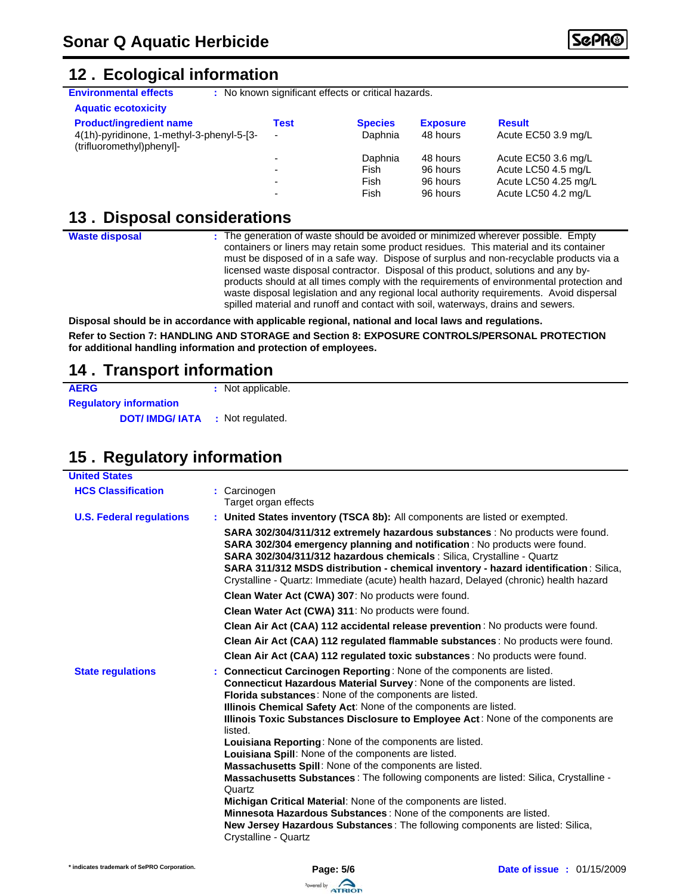### **Ecological information 12 .**

**Environmental effects** : No known significant effects or critical hazards.

| <b>Aquatic ecotoxicity</b>                                             |                          |                |                 |                      |
|------------------------------------------------------------------------|--------------------------|----------------|-----------------|----------------------|
| <b>Product/ingredient name</b>                                         | Test                     | <b>Species</b> | <b>Exposure</b> | <b>Result</b>        |
| 4(1h)-pyridinone, 1-methyl-3-phenyl-5-[3-<br>(trifluoromethyl)phenyl]- | $\overline{\phantom{0}}$ | Daphnia        | 48 hours        | Acute EC50 3.9 mg/L  |
|                                                                        | $\overline{\phantom{0}}$ | Daphnia        | 48 hours        | Acute EC50 3.6 mg/L  |
|                                                                        | -                        | Fish           | 96 hours        | Acute LC50 4.5 mg/L  |
|                                                                        | $\overline{\phantom{0}}$ | Fish           | 96 hours        | Acute LC50 4.25 mg/L |
|                                                                        | -                        | Fish           | 96 hours        | Acute LC50 4.2 mg/L  |

### **13. Disposal considerations**

**Waste disposal**

The generation of waste should be avoided or minimized wherever possible. Empty **:** containers or liners may retain some product residues. This material and its container must be disposed of in a safe way. Dispose of surplus and non-recyclable products via a licensed waste disposal contractor. Disposal of this product, solutions and any byproducts should at all times comply with the requirements of environmental protection and waste disposal legislation and any regional local authority requirements. Avoid dispersal spilled material and runoff and contact with soil, waterways, drains and sewers.

**Disposal should be in accordance with applicable regional, national and local laws and regulations. Refer to Section 7: HANDLING AND STORAGE and Section 8: EXPOSURE CONTROLS/PERSONAL PROTECTION for additional handling information and protection of employees.**

### **14 . Transport information**

| <b>AERG</b>                   | : Not applicable. |
|-------------------------------|-------------------|
| <b>Requlatory information</b> |                   |
| <b>DOT/IMDG/IATA</b>          | : Not regulated.  |

# 15. Regulatory information

| <b>United States</b>            |                                                                                                                                                                                                                                                                                                                                                                                                                                                                                                                                                                                                                                                                                                                                                                                                                                                                                                                   |
|---------------------------------|-------------------------------------------------------------------------------------------------------------------------------------------------------------------------------------------------------------------------------------------------------------------------------------------------------------------------------------------------------------------------------------------------------------------------------------------------------------------------------------------------------------------------------------------------------------------------------------------------------------------------------------------------------------------------------------------------------------------------------------------------------------------------------------------------------------------------------------------------------------------------------------------------------------------|
| <b>HCS Classification</b>       | : Carcinogen<br>Target organ effects                                                                                                                                                                                                                                                                                                                                                                                                                                                                                                                                                                                                                                                                                                                                                                                                                                                                              |
| <b>U.S. Federal regulations</b> | : United States inventory (TSCA 8b): All components are listed or exempted.                                                                                                                                                                                                                                                                                                                                                                                                                                                                                                                                                                                                                                                                                                                                                                                                                                       |
|                                 | SARA 302/304/311/312 extremely hazardous substances : No products were found.<br>SARA 302/304 emergency planning and notification : No products were found.<br>SARA 302/304/311/312 hazardous chemicals : Silica, Crystalline - Quartz<br>SARA 311/312 MSDS distribution - chemical inventory - hazard identification: Silica,<br>Crystalline - Quartz: Immediate (acute) health hazard, Delayed (chronic) health hazard                                                                                                                                                                                                                                                                                                                                                                                                                                                                                          |
|                                 | Clean Water Act (CWA) 307: No products were found.                                                                                                                                                                                                                                                                                                                                                                                                                                                                                                                                                                                                                                                                                                                                                                                                                                                                |
|                                 | Clean Water Act (CWA) 311: No products were found.                                                                                                                                                                                                                                                                                                                                                                                                                                                                                                                                                                                                                                                                                                                                                                                                                                                                |
|                                 | Clean Air Act (CAA) 112 accidental release prevention: No products were found.                                                                                                                                                                                                                                                                                                                                                                                                                                                                                                                                                                                                                                                                                                                                                                                                                                    |
|                                 | Clean Air Act (CAA) 112 regulated flammable substances : No products were found.                                                                                                                                                                                                                                                                                                                                                                                                                                                                                                                                                                                                                                                                                                                                                                                                                                  |
|                                 | Clean Air Act (CAA) 112 regulated toxic substances: No products were found.                                                                                                                                                                                                                                                                                                                                                                                                                                                                                                                                                                                                                                                                                                                                                                                                                                       |
| <b>State regulations</b>        | : Connecticut Carcinogen Reporting: None of the components are listed.<br>Connecticut Hazardous Material Survey: None of the components are listed.<br>Florida substances: None of the components are listed.<br>Illinois Chemical Safety Act: None of the components are listed.<br>Illinois Toxic Substances Disclosure to Employee Act: None of the components are<br>listed.<br>Louisiana Reporting: None of the components are listed.<br>Louisiana Spill: None of the components are listed.<br>Massachusetts Spill: None of the components are listed.<br>Massachusetts Substances : The following components are listed: Silica, Crystalline -<br>Quartz<br>Michigan Critical Material: None of the components are listed.<br>Minnesota Hazardous Substances: None of the components are listed.<br>New Jersey Hazardous Substances: The following components are listed: Silica,<br>Crystalline - Quartz |